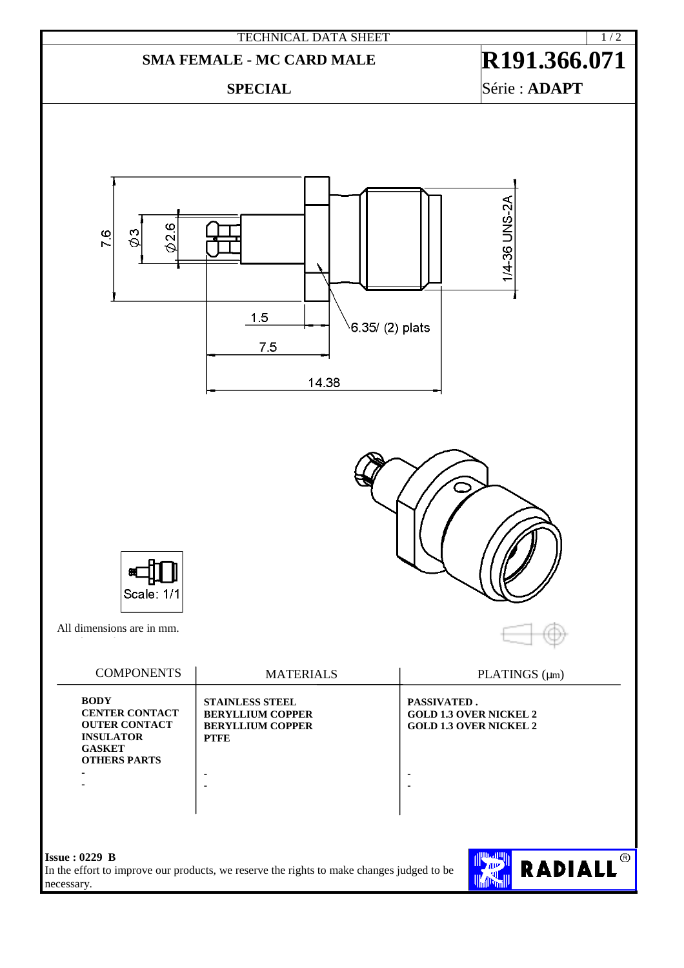